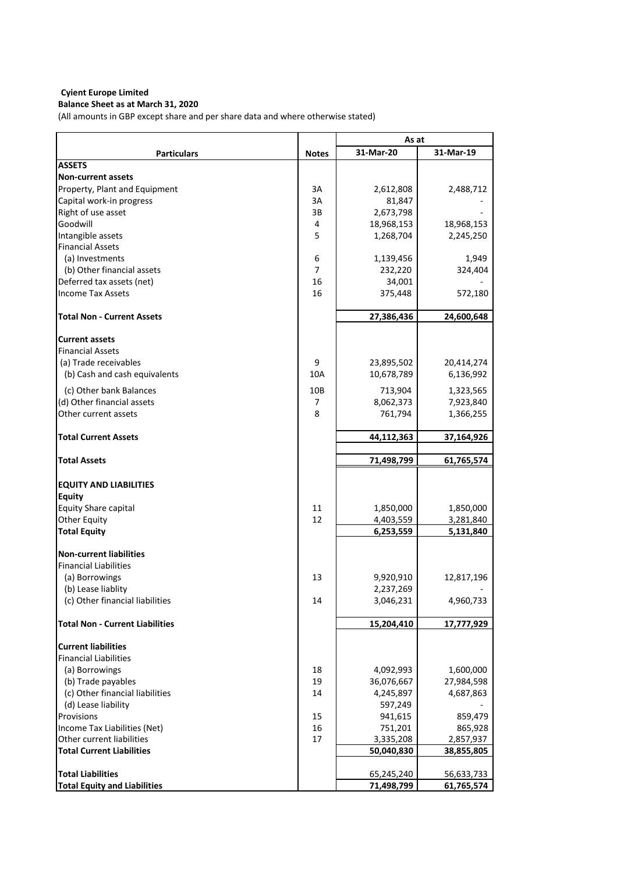# **Balance Sheet as at March 31, 2020**

(All amounts in GBP except share and per share data and where otherwise stated)

|                                        |                | As at      |            |  |
|----------------------------------------|----------------|------------|------------|--|
| <b>Particulars</b>                     | <b>Notes</b>   | 31-Mar-20  | 31-Mar-19  |  |
| <b>ASSETS</b>                          |                |            |            |  |
| <b>Non-current assets</b>              |                |            |            |  |
| Property, Plant and Equipment          | 3A             | 2,612,808  | 2,488,712  |  |
| Capital work-in progress               | 3A             | 81,847     |            |  |
| Right of use asset                     | 3B             | 2,673,798  |            |  |
| Goodwill                               | 4              | 18,968,153 | 18,968,153 |  |
| Intangible assets                      | 5              | 1,268,704  | 2,245,250  |  |
| <b>Financial Assets</b>                |                |            |            |  |
| (a) Investments                        | 6              | 1,139,456  | 1,949      |  |
| (b) Other financial assets             | $\overline{7}$ | 232,220    | 324,404    |  |
| Deferred tax assets (net)              | 16             | 34,001     |            |  |
| <b>Income Tax Assets</b>               | 16             | 375,448    | 572,180    |  |
| <b>Total Non - Current Assets</b>      |                | 27,386,436 | 24,600,648 |  |
| <b>Current assets</b>                  |                |            |            |  |
| <b>Financial Assets</b>                |                |            |            |  |
| (a) Trade receivables                  | 9              | 23,895,502 | 20,414,274 |  |
| (b) Cash and cash equivalents          | 10A            | 10,678,789 | 6,136,992  |  |
|                                        |                |            |            |  |
| (c) Other bank Balances                | 10B            | 713,904    | 1,323,565  |  |
| (d) Other financial assets             | 7              | 8,062,373  | 7,923,840  |  |
| Other current assets                   | 8              | 761,794    | 1,366,255  |  |
| <b>Total Current Assets</b>            |                | 44,112,363 | 37,164,926 |  |
|                                        |                |            |            |  |
| <b>Total Assets</b>                    |                | 71,498,799 | 61,765,574 |  |
|                                        |                |            |            |  |
| <b>EQUITY AND LIABILITIES</b>          |                |            |            |  |
| <b>Equity</b>                          |                |            |            |  |
| <b>Equity Share capital</b>            | 11             | 1,850,000  | 1,850,000  |  |
| Other Equity                           | 12             | 4,403,559  | 3,281,840  |  |
| <b>Total Equity</b>                    |                | 6,253,559  | 5,131,840  |  |
| <b>Non-current liabilities</b>         |                |            |            |  |
| <b>Financial Liabilities</b>           |                |            |            |  |
| (a) Borrowings                         | 13             | 9,920,910  | 12,817,196 |  |
| (b) Lease liablity                     |                | 2,237,269  |            |  |
| (c) Other financial liabilities        | 14             | 3,046,231  | 4,960,733  |  |
|                                        |                |            |            |  |
| <b>Total Non - Current Liabilities</b> |                | 15,204,410 | 17,777,929 |  |
| <b>Current liabilities</b>             |                |            |            |  |
| <b>Financial Liabilities</b>           |                |            |            |  |
| (a) Borrowings                         | 18             | 4,092,993  | 1,600,000  |  |
| (b) Trade payables                     | 19             | 36,076,667 | 27,984,598 |  |
| (c) Other financial liabilities        | 14             | 4,245,897  | 4,687,863  |  |
| (d) Lease liability                    |                | 597,249    |            |  |
| Provisions                             | 15             | 941,615    | 859,479    |  |
| Income Tax Liabilities (Net)           | 16             | 751,201    | 865,928    |  |
| Other current liabilities              | 17             | 3,335,208  | 2,857,937  |  |
| <b>Total Current Liabilities</b>       |                | 50,040,830 | 38,855,805 |  |
|                                        |                |            |            |  |
| <b>Total Liabilities</b>               |                | 65,245,240 | 56,633,733 |  |
| <b>Total Equity and Liabilities</b>    |                | 71,498,799 | 61,765,574 |  |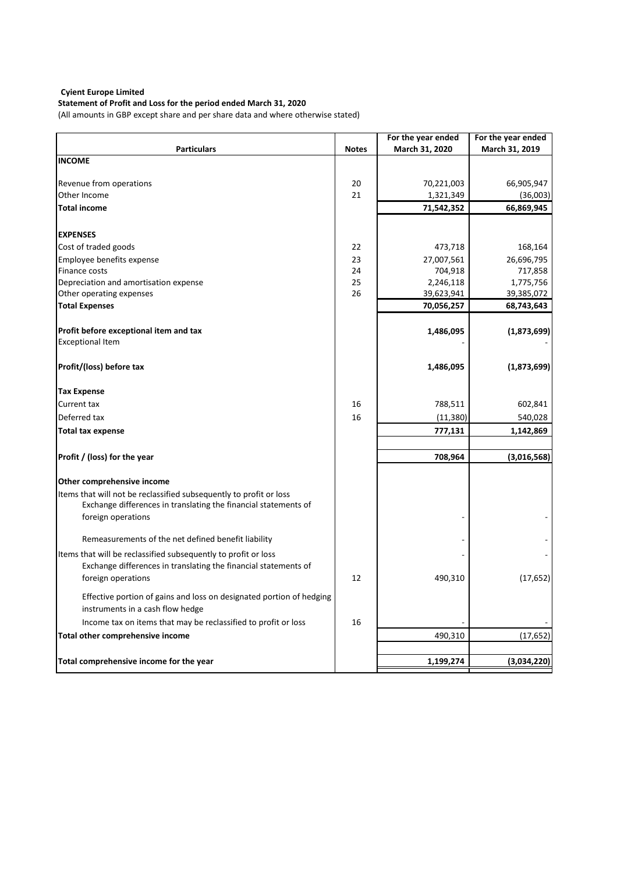## **Statement of Profit and Loss for the period ended March 31, 2020**

(All amounts in GBP except share and per share data and where otherwise stated)

|                                                                                                                                                             |              | For the year ended | For the year ended |
|-------------------------------------------------------------------------------------------------------------------------------------------------------------|--------------|--------------------|--------------------|
| <b>Particulars</b>                                                                                                                                          | <b>Notes</b> | March 31, 2020     | March 31, 2019     |
| <b>INCOME</b>                                                                                                                                               |              |                    |                    |
| Revenue from operations                                                                                                                                     | 20           | 70,221,003         | 66,905,947         |
| Other Income                                                                                                                                                | 21           | 1,321,349          | (36,003)           |
| <b>Total income</b>                                                                                                                                         |              | 71,542,352         | 66,869,945         |
| <b>EXPENSES</b>                                                                                                                                             |              |                    |                    |
| Cost of traded goods                                                                                                                                        | 22           | 473,718            | 168,164            |
| Employee benefits expense                                                                                                                                   | 23           | 27,007,561         | 26,696,795         |
| Finance costs                                                                                                                                               | 24           | 704,918            | 717,858            |
| Depreciation and amortisation expense                                                                                                                       | 25           | 2,246,118          | 1,775,756          |
| Other operating expenses                                                                                                                                    | 26           | 39,623,941         | 39,385,072         |
| <b>Total Expenses</b>                                                                                                                                       |              | 70,056,257         | 68,743,643         |
| Profit before exceptional item and tax                                                                                                                      |              | 1,486,095          | (1,873,699)        |
| <b>Exceptional Item</b>                                                                                                                                     |              |                    |                    |
| Profit/(loss) before tax                                                                                                                                    |              | 1,486,095          | (1,873,699)        |
| <b>Tax Expense</b>                                                                                                                                          |              |                    |                    |
| Current tax                                                                                                                                                 | 16           | 788,511            | 602,841            |
| Deferred tax                                                                                                                                                | 16           | (11, 380)          | 540,028            |
| <b>Total tax expense</b>                                                                                                                                    |              | 777,131            | 1,142,869          |
| Profit / (loss) for the year                                                                                                                                |              | 708,964            | (3,016,568)        |
| Other comprehensive income                                                                                                                                  |              |                    |                    |
| Items that will not be reclassified subsequently to profit or loss<br>Exchange differences in translating the financial statements of<br>foreign operations |              |                    |                    |
|                                                                                                                                                             |              |                    |                    |
| Remeasurements of the net defined benefit liability                                                                                                         |              |                    |                    |
| Items that will be reclassified subsequently to profit or loss<br>Exchange differences in translating the financial statements of<br>foreign operations     | 12           | 490,310            | (17, 652)          |
| Effective portion of gains and loss on designated portion of hedging<br>instruments in a cash flow hedge                                                    |              |                    |                    |
| Income tax on items that may be reclassified to profit or loss                                                                                              | 16           |                    |                    |
| Total other comprehensive income                                                                                                                            |              | 490,310            | (17, 652)          |
|                                                                                                                                                             |              |                    | (3,034,220)        |
| Total comprehensive income for the year                                                                                                                     |              | 1,199,274          |                    |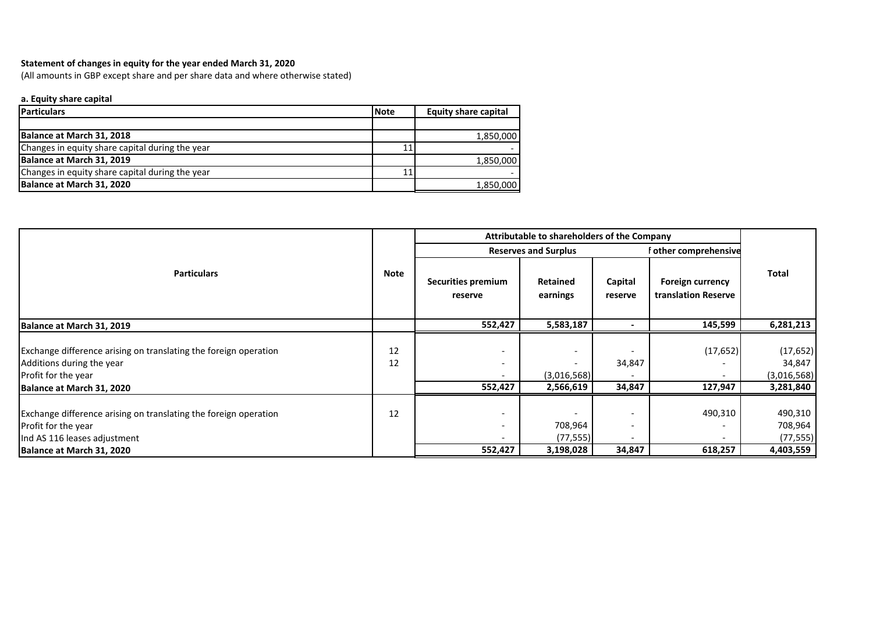## **Statement of changes in equity for the year ended March 31, 2020**

(All amounts in GBP except share and per share data and where otherwise stated)

### **a. Equity share capital**

| <b>Particulars</b>                              | <b>Note</b> | <b>Equity share capital</b> |
|-------------------------------------------------|-------------|-----------------------------|
|                                                 |             |                             |
| Balance at March 31, 2018                       |             | 1,850,000                   |
| Changes in equity share capital during the year | 11          |                             |
| Balance at March 31, 2019                       |             | 1,850,000                   |
| Changes in equity share capital during the year | 11          |                             |
| Balance at March 31, 2020                       |             | 1,850,000                   |

|                                                                                                                                                      |             |                               | Attributable to shareholders of the Company |                                    |                                                |                                                 |
|------------------------------------------------------------------------------------------------------------------------------------------------------|-------------|-------------------------------|---------------------------------------------|------------------------------------|------------------------------------------------|-------------------------------------------------|
|                                                                                                                                                      |             | <b>Reserves and Surplus</b>   |                                             |                                    | f other comprehensive                          |                                                 |
| <b>Particulars</b>                                                                                                                                   | <b>Note</b> | Securities premium<br>reserve | Retained<br>earnings                        | Capital<br>reserve                 | <b>Foreign currency</b><br>translation Reserve | Total                                           |
| Balance at March 31, 2019                                                                                                                            |             | 552,427                       | 5,583,187                                   | $\blacksquare$                     | 145,599                                        | 6,281,213                                       |
| Exchange difference arising on translating the foreign operation<br>Additions during the year<br>Profit for the year<br>Balance at March 31, 2020    | 12<br>12    | 552,427                       | (3,016,568)<br>2,566,619                    | 34,847<br>34,847                   | (17, 652)<br>127,947                           | (17, 652)<br>34,847<br>(3,016,568)<br>3,281,840 |
| Exchange difference arising on translating the foreign operation<br>Profit for the year<br>Ind AS 116 leases adjustment<br>Balance at March 31, 2020 | 12          | -<br>-<br>552,427             | 708,964<br>(77,555) <br>3,198,028           | $\overline{\phantom{0}}$<br>34,847 | 490,310<br>618,257                             | 490,310<br>708,964<br>(77, 555)<br>4,403,559    |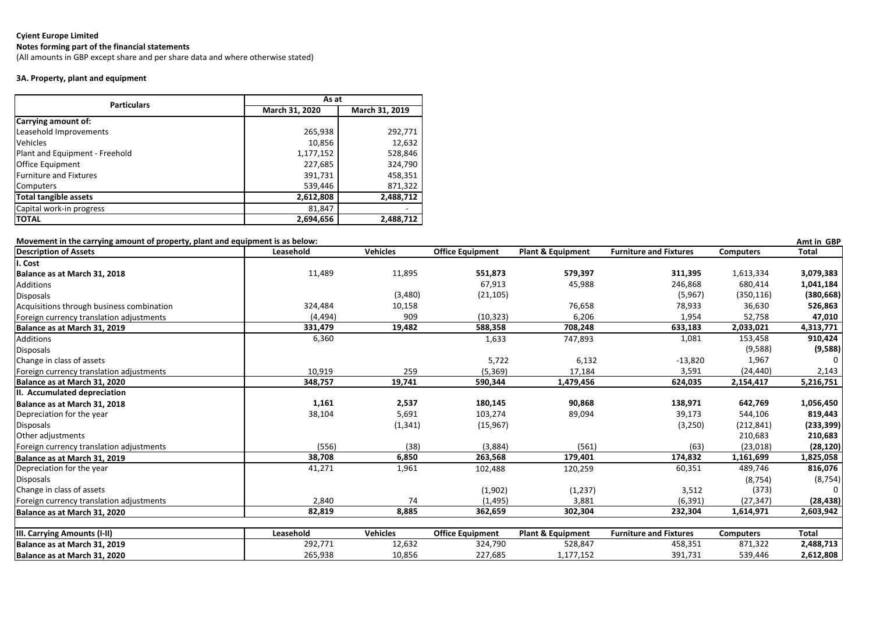## **Notes forming part of the financial statements**

(All amounts in GBP except share and per share data and where otherwise stated)

## **3A. Property, plant and equipment**

| <b>Particulars</b>             | As at          |                |  |
|--------------------------------|----------------|----------------|--|
|                                | March 31, 2020 | March 31, 2019 |  |
| Carrying amount of:            |                |                |  |
| Leasehold Improvements         | 265,938        | 292,771        |  |
| <b>Vehicles</b>                | 10,856         | 12,632         |  |
| Plant and Equipment - Freehold | 1,177,152      | 528,846        |  |
| Office Equipment               | 227,685        | 324,790        |  |
| <b>Furniture and Fixtures</b>  | 391,731        | 458,351        |  |
| <b>Computers</b>               | 539,446        | 871,322        |  |
| <b>Total tangible assets</b>   | 2,612,808      | 2,488,712      |  |
| Capital work-in progress       | 81,847         |                |  |
| <b>TOTAL</b>                   | 2,694,656      | 2,488,712      |  |

| Movement in the carrying amount of property, plant and equipment is as below: |           |                 |                         |                              |                               |                  | Amt in GBP   |
|-------------------------------------------------------------------------------|-----------|-----------------|-------------------------|------------------------------|-------------------------------|------------------|--------------|
| <b>Description of Assets</b>                                                  | Leasehold | <b>Vehicles</b> | <b>Office Equipment</b> | <b>Plant &amp; Equipment</b> | <b>Furniture and Fixtures</b> | <b>Computers</b> | <b>Total</b> |
| I. Cost                                                                       |           |                 |                         |                              |                               |                  |              |
| Balance as at March 31, 2018                                                  | 11,489    | 11,895          | 551,873                 | 579,397                      | 311,395                       | 1,613,334        | 3,079,383    |
| Additions                                                                     |           |                 | 67,913                  | 45,988                       | 246,868                       | 680,414          | 1,041,184    |
| Disposals                                                                     |           | (3,480)         | (21, 105)               |                              | (5,967)                       | (350, 116)       | (380, 668)   |
| Acquisitions through business combination                                     | 324,484   | 10,158          |                         | 76,658                       | 78,933                        | 36,630           | 526,863      |
| Foreign currency translation adjustments                                      | (4, 494)  | 909             | (10, 323)               | 6,206                        | 1,954                         | 52,758           | 47,010       |
| Balance as at March 31, 2019                                                  | 331,479   | 19,482          | 588,358                 | 708,248                      | 633,183                       | 2,033,021        | 4,313,771    |
| Additions                                                                     | 6,360     |                 | 1,633                   | 747,893                      | 1,081                         | 153,458          | 910,424      |
| Disposals                                                                     |           |                 |                         |                              |                               | (9,588)          | (9,588)      |
| Change in class of assets                                                     |           |                 | 5,722                   | 6,132                        | $-13,820$                     | 1,967            | 0            |
| Foreign currency translation adjustments                                      | 10,919    | 259             | (5, 369)                | 17,184                       | 3,591                         | (24, 440)        | 2,143        |
| Balance as at March 31, 2020                                                  | 348,757   | 19,741          | 590,344                 | 1,479,456                    | 624,035                       | 2,154,417        | 5,216,751    |
| III. Accumulated depreciation                                                 |           |                 |                         |                              |                               |                  |              |
| Balance as at March 31, 2018                                                  | 1,161     | 2,537           | 180,145                 | 90,868                       | 138,971                       | 642,769          | 1,056,450    |
| Depreciation for the year                                                     | 38,104    | 5,691           | 103,274                 | 89,094                       | 39,173                        | 544,106          | 819,443      |
| Disposals                                                                     |           | (1, 341)        | (15, 967)               |                              | (3,250)                       | (212, 841)       | (233, 399)   |
| Other adjustments                                                             |           |                 |                         |                              |                               | 210,683          | 210,683      |
| Foreign currency translation adjustments                                      | (556)     | (38)            | (3,884)                 | (561)                        | (63)                          | (23, 018)        | (28, 120)    |
| Balance as at March 31, 2019                                                  | 38,708    | 6,850           | 263,568                 | 179,401                      | 174,832                       | 1,161,699        | 1,825,058    |
| Depreciation for the year                                                     | 41,271    | 1,961           | 102,488                 | 120,259                      | 60,351                        | 489,746          | 816,076      |
| Disposals                                                                     |           |                 |                         |                              |                               | (8, 754)         | (8, 754)     |
| Change in class of assets                                                     |           |                 | (1,902)                 | (1, 237)                     | 3,512                         | (373)            | $\Omega$     |
| Foreign currency translation adjustments                                      | 2,840     | 74              | (1, 495)                | 3,881                        | (6, 391)                      | (27, 347)        | (28, 438)    |
| Balance as at March 31, 2020                                                  | 82,819    | 8,885           | 362,659                 | 302,304                      | 232,304                       | 1,614,971        | 2,603,942    |
|                                                                               |           |                 |                         |                              |                               |                  |              |
| III. Carrying Amounts (I-II)                                                  | Leasehold | <b>Vehicles</b> | <b>Office Equipment</b> | <b>Plant &amp; Equipment</b> | <b>Furniture and Fixtures</b> | <b>Computers</b> | <b>Total</b> |
| Balance as at March 31, 2019                                                  | 292,771   | 12,632          | 324,790                 | 528,847                      | 458,351                       | 871,322          | 2,488,713    |
| Balance as at March 31, 2020                                                  | 265,938   | 10,856          | 227,685                 | 1,177,152                    | 391,731                       | 539,446          | 2,612,808    |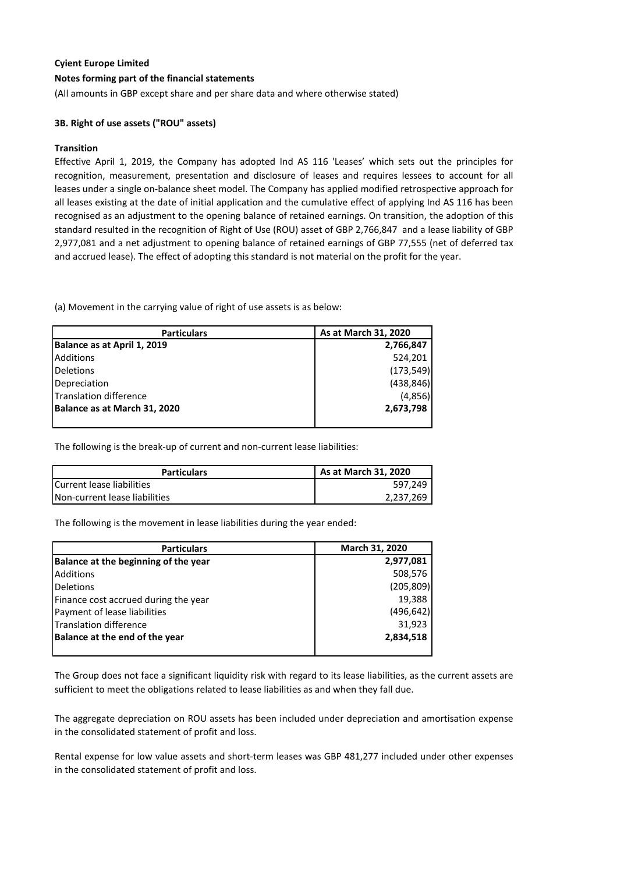#### **Notes forming part of the financial statements**

(All amounts in GBP except share and per share data and where otherwise stated)

#### **3B. Right of use assets ("ROU" assets)**

#### **Transition**

Effective April 1, 2019, the Company has adopted Ind AS 116 'Leases' which sets out the principles for recognition, measurement, presentation and disclosure of leases and requires lessees to account for all leases under a single on-balance sheet model. The Company has applied modified retrospective approach for all leases existing at the date of initial application and the cumulative effect of applying Ind AS 116 has been recognised as an adjustment to the opening balance of retained earnings. On transition, the adoption of this standard resulted in the recognition of Right of Use (ROU) asset of GBP 2,766,847 and a lease liability of GBP 2,977,081 and a net adjustment to opening balance of retained earnings of GBP 77,555 (net of deferred tax and accrued lease). The effect of adopting this standard is not material on the profit for the year.

(a) Movement in the carrying value of right of use assets is as below:

| <b>Particulars</b>           | As at March 31, 2020 |
|------------------------------|----------------------|
| Balance as at April 1, 2019  | 2,766,847            |
| <b>Additions</b>             | 524,201              |
| <b>Deletions</b>             | (173, 549)           |
| Depreciation                 | (438, 846)           |
| Translation difference       | (4,856)              |
| Balance as at March 31, 2020 | 2,673,798            |
|                              |                      |

The following is the break-up of current and non-current lease liabilities:

| <b>Particulars</b>            | As at March 31, 2020 |
|-------------------------------|----------------------|
| Current lease liabilities     | 597.249              |
| Non-current lease liabilities | 2.237.269            |

The following is the movement in lease liabilities during the year ended:

| <b>Particulars</b>                   | March 31, 2020 |
|--------------------------------------|----------------|
| Balance at the beginning of the year | 2,977,081      |
| <b>Additions</b>                     | 508,576        |
| <b>Deletions</b>                     | (205, 809)     |
| Finance cost accrued during the year | 19,388         |
| Payment of lease liabilities         | (496, 642)     |
| Translation difference               | 31,923         |
| Balance at the end of the year       | 2,834,518      |
|                                      |                |

The Group does not face a significant liquidity risk with regard to its lease liabilities, as the current assets are sufficient to meet the obligations related to lease liabilities as and when they fall due.

The aggregate depreciation on ROU assets has been included under depreciation and amortisation expense in the consolidated statement of profit and loss.

Rental expense for low value assets and short-term leases was GBP 481,277 included under other expenses in the consolidated statement of profit and loss.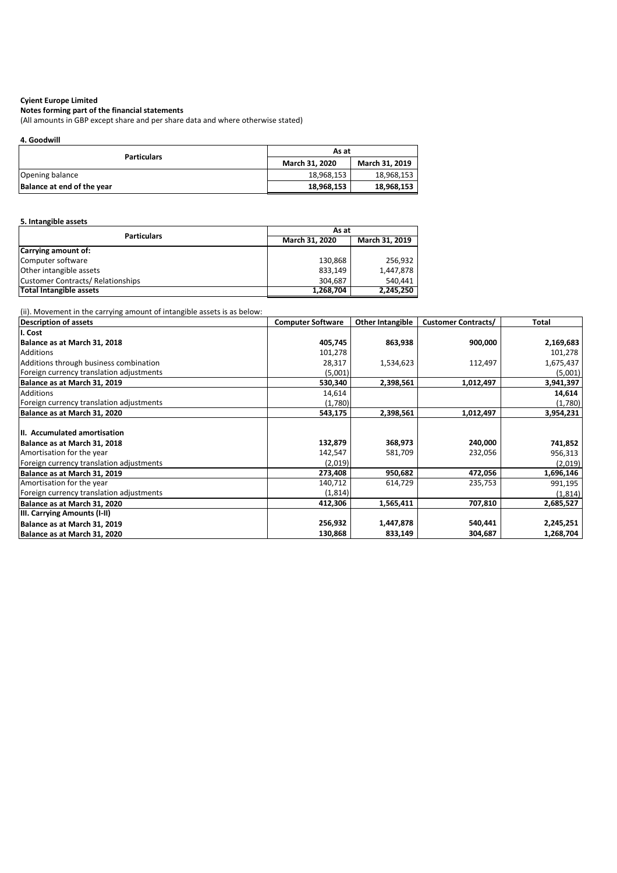**Notes forming part of the financial statements**

(All amounts in GBP except share and per share data and where otherwise stated)

**4. Goodwill**

| <b>Particulars</b>         | As at                    |                |  |  |
|----------------------------|--------------------------|----------------|--|--|
|                            | <b>March 31, 2020</b>    | March 31, 2019 |  |  |
| Opening balance            | 18,968,153               | 18,968,153     |  |  |
| Balance at end of the year | 18,968,153<br>18,968,153 |                |  |  |

#### **5. Intangible assets**

| <b>Particulars</b>                       | As at                 |                |  |  |
|------------------------------------------|-----------------------|----------------|--|--|
|                                          | <b>March 31, 2020</b> | March 31, 2019 |  |  |
| Carrying amount of:                      |                       |                |  |  |
| Computer software                        | 130,868               | 256.932        |  |  |
| Other intangible assets                  | 833,149               | 1,447,878      |  |  |
| <b>Customer Contracts/ Relationships</b> | 304,687               | 540.441        |  |  |
| <b>Total Intangible assets</b>           | 1,268,704             | 2,245,250      |  |  |

(ii). Movement in the carrying amount of intangible assets is as below:

| Description of assets                    | <b>Computer Software</b> | <b>Other Intangible</b> | <b>Customer Contracts/</b> | <b>Total</b> |
|------------------------------------------|--------------------------|-------------------------|----------------------------|--------------|
| II. Cost                                 |                          |                         |                            |              |
| Balance as at March 31, 2018             | 405,745                  | 863,938                 | 900,000                    | 2,169,683    |
| <b>Additions</b>                         | 101,278                  |                         |                            | 101,278      |
| Additions through business combination   | 28,317                   | 1,534,623               | 112,497                    | 1,675,437    |
| Foreign currency translation adjustments | (5,001)                  |                         |                            | (5,001)      |
| Balance as at March 31, 2019             | 530,340                  | 2,398,561               | 1,012,497                  | 3,941,397    |
| <b>Additions</b>                         | 14,614                   |                         |                            | 14,614       |
| Foreign currency translation adjustments | (1,780)                  |                         |                            | (1,780)      |
| Balance as at March 31, 2020             | 543,175                  | 2,398,561               | 1,012,497                  | 3,954,231    |
| III. Accumulated amortisation            |                          |                         |                            |              |
| Balance as at March 31, 2018             | 132,879                  | 368,973                 | 240,000                    | 741,852      |
| Amortisation for the year                | 142,547                  | 581,709                 | 232,056                    | 956,313      |
| Foreign currency translation adjustments | (2,019)                  |                         |                            | (2,019)      |
| Balance as at March 31, 2019             | 273,408                  | 950,682                 | 472,056                    | 1,696,146    |
| Amortisation for the year                | 140,712                  | 614,729                 | 235,753                    | 991,195      |
| Foreign currency translation adjustments | (1, 814)                 |                         |                            | (1, 814)     |
| Balance as at March 31, 2020             | 412,306                  | 1,565,411               | 707,810                    | 2,685,527    |
| <b>IIII. Carrying Amounts (I-II)</b>     |                          |                         |                            |              |
| Balance as at March 31, 2019             | 256,932                  | 1,447,878               | 540,441                    | 2,245,251    |
| Balance as at March 31, 2020             | 130,868                  | 833,149                 | 304,687                    | 1,268,704    |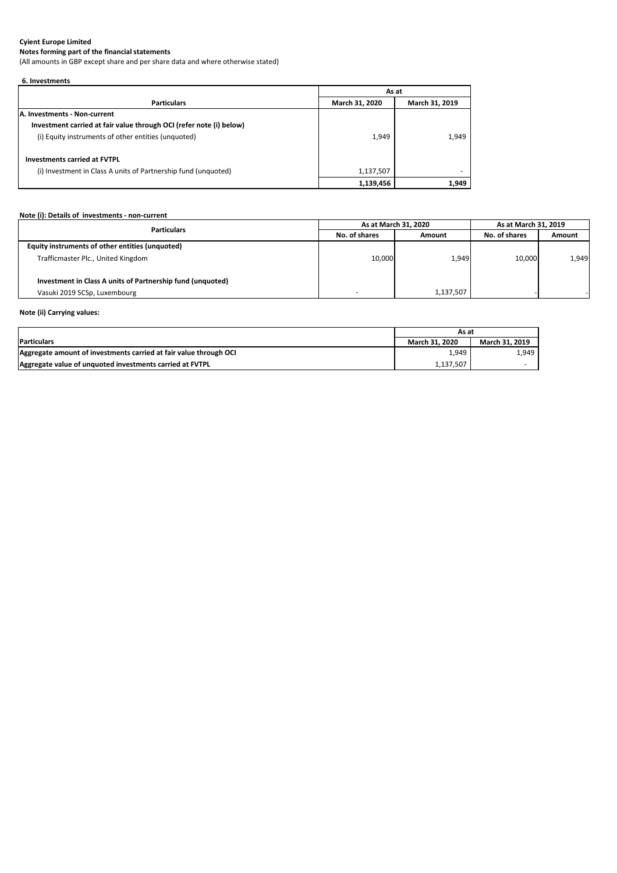**Notes forming part of the financial statements**

(All amounts in GBP except share and per share data and where otherwise stated)

| 6. Investments                                                      |                       |                |
|---------------------------------------------------------------------|-----------------------|----------------|
|                                                                     | As at                 |                |
| <b>Particulars</b>                                                  | <b>March 31, 2020</b> | March 31, 2019 |
| <b>JA. Investments - Non-current</b>                                |                       |                |
| Investment carried at fair value through OCI (refer note (i) below) |                       |                |
| (i) Equity instruments of other entities (unquoted)                 | 1,949                 | 1.949          |
| <b>Investments carried at FVTPL</b>                                 |                       |                |
| (i) Investment in Class A units of Partnership fund (unquoted)      | 1,137,507             |                |
|                                                                     | 1,139,456             | 1,949          |

## **Note (i): Details of investments - non-current**

|                                                            | As at March 31, 2020 |               | As at March 31, 2019 |        |
|------------------------------------------------------------|----------------------|---------------|----------------------|--------|
| <b>Particulars</b>                                         | No. of shares        | <b>Amount</b> | No. of shares        | Amount |
| Equity instruments of other entities (unquoted)            |                      |               |                      |        |
| Trafficmaster Plc., United Kingdom                         | 10,000               | 1,949         | 10,000               | 1,949  |
| Investment in Class A units of Partnership fund (unquoted) |                      |               |                      |        |
| Vasuki 2019 SCSp, Luxembourg                               |                      | 1,137,507     |                      |        |

## **Note (ii) Carrying values:**

|                                                                   | As at                 |                |
|-------------------------------------------------------------------|-----------------------|----------------|
| <b>Particulars</b>                                                | <b>March 31, 2020</b> | March 31, 2019 |
| Aggregate amount of investments carried at fair value through OCI | 1,949                 | 1,949          |
| Aggregate value of unquoted investments carried at FVTPL          | 1,137,507             |                |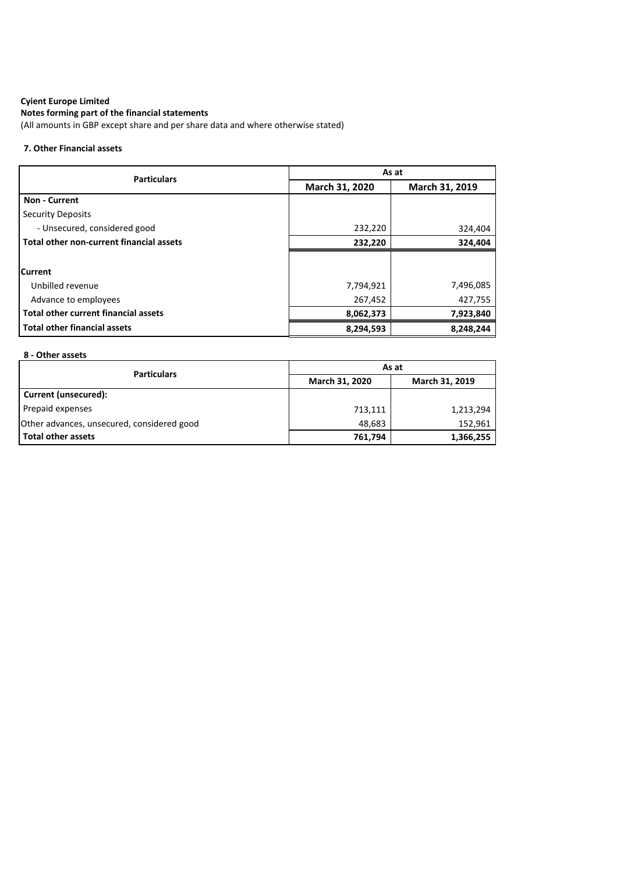## **Notes forming part of the financial statements**

(All amounts in GBP except share and per share data and where otherwise stated)

#### **7. Other Financial assets**

| <b>Particulars</b>                          | As at          |                |  |  |
|---------------------------------------------|----------------|----------------|--|--|
|                                             | March 31, 2020 | March 31, 2019 |  |  |
| <b>Non - Current</b>                        |                |                |  |  |
| <b>Security Deposits</b>                    |                |                |  |  |
| - Unsecured, considered good                | 232,220        | 324,404        |  |  |
| Total other non-current financial assets    | 232,220        | 324,404        |  |  |
|                                             |                |                |  |  |
| <b>Current</b>                              |                |                |  |  |
| Unbilled revenue                            | 7,794,921      | 7,496,085      |  |  |
| Advance to employees                        | 267,452        | 427,755        |  |  |
| <b>Total other current financial assets</b> | 8,062,373      | 7,923,840      |  |  |
| <b>Total other financial assets</b>         | 8,294,593      | 8,248,244      |  |  |

## **8 - Other assets**

| <b>Particulars</b>                         | As at                 |                |  |
|--------------------------------------------|-----------------------|----------------|--|
|                                            | <b>March 31, 2020</b> | March 31, 2019 |  |
| <b>Current (unsecured):</b>                |                       |                |  |
| Prepaid expenses                           | 713,111               | 1,213,294      |  |
| Other advances, unsecured, considered good | 48,683                | 152,961        |  |
| <b>Total other assets</b>                  | 761,794               | 1,366,255      |  |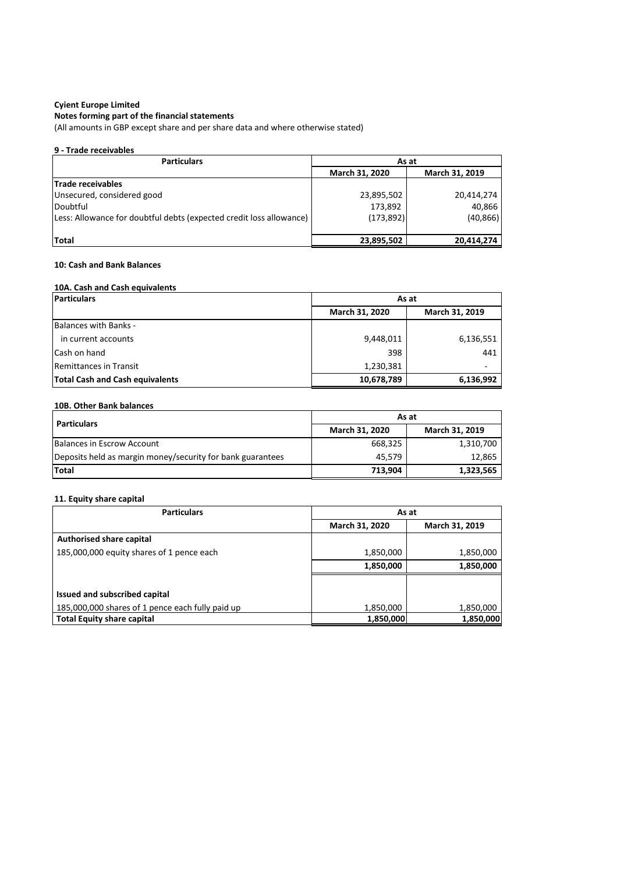#### **Notes forming part of the financial statements**

(All amounts in GBP except share and per share data and where otherwise stated)

### **9 - Trade receivables**

| <b>Particulars</b>                                                  | As at                            |            |  |
|---------------------------------------------------------------------|----------------------------------|------------|--|
|                                                                     | March 31, 2020<br>March 31, 2019 |            |  |
| <b>Trade receivables</b>                                            |                                  |            |  |
| Unsecured, considered good                                          | 23,895,502                       | 20,414,274 |  |
| Doubtful                                                            | 173,892                          | 40,866     |  |
| Less: Allowance for doubtful debts (expected credit loss allowance) | (173, 892)                       | (40, 866)  |  |
|                                                                     |                                  |            |  |
| <b>Total</b>                                                        | 23,895,502                       | 20,414,274 |  |

#### **10: Cash and Bank Balances**

#### **10A. Cash and Cash equivalents**

| <b>Particulars</b>                     | As at          |                |  |
|----------------------------------------|----------------|----------------|--|
|                                        | March 31, 2020 | March 31, 2019 |  |
| <b>Balances with Banks -</b>           |                |                |  |
| in current accounts                    | 9,448,011      | 6,136,551      |  |
| Cash on hand                           | 398            | 441            |  |
| Remittances in Transit                 | 1,230,381      |                |  |
| <b>Total Cash and Cash equivalents</b> | 10,678,789     | 6,136,992      |  |

#### **10B. Other Bank balances**

| <b>Particulars</b>                                         | As at                 |                |  |
|------------------------------------------------------------|-----------------------|----------------|--|
|                                                            | <b>March 31, 2020</b> | March 31, 2019 |  |
| Balances in Escrow Account                                 | 668,325               | 1,310,700      |  |
| Deposits held as margin money/security for bank guarantees | 45.579                | 12.865         |  |
| Total                                                      | 713,904               | 1,323,565      |  |

### **11. Equity share capital**

| <b>Particulars</b>                               | As at          |                |  |
|--------------------------------------------------|----------------|----------------|--|
|                                                  | March 31, 2020 | March 31, 2019 |  |
| Authorised share capital                         |                |                |  |
| 185,000,000 equity shares of 1 pence each        | 1,850,000      | 1,850,000      |  |
|                                                  | 1,850,000      | 1,850,000      |  |
|                                                  |                |                |  |
| Issued and subscribed capital                    |                |                |  |
| 185,000,000 shares of 1 pence each fully paid up | 1,850,000      | 1,850,000      |  |
| <b>Total Equity share capital</b>                | 1,850,000      | 1,850,000      |  |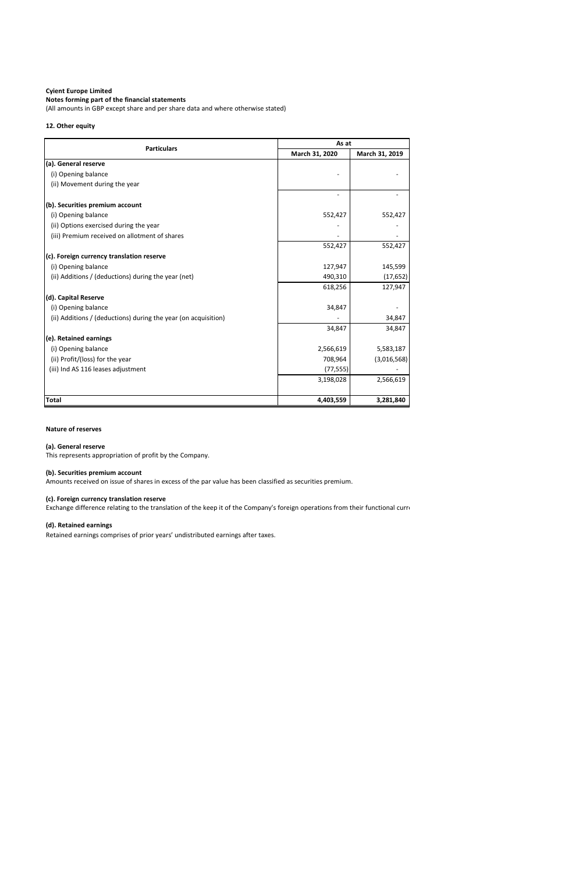### **Notes forming part of the financial statements**

(All amounts in GBP except share and per share data and where otherwise stated)

#### **12. Other equity**

| <b>Particulars</b>                                             |                | As at          |  |  |
|----------------------------------------------------------------|----------------|----------------|--|--|
|                                                                | March 31, 2020 | March 31, 2019 |  |  |
| (a). General reserve                                           |                |                |  |  |
| (i) Opening balance                                            |                |                |  |  |
| (ii) Movement during the year                                  |                |                |  |  |
|                                                                |                |                |  |  |
| (b). Securities premium account                                |                |                |  |  |
| (i) Opening balance                                            | 552,427        | 552,427        |  |  |
| (ii) Options exercised during the year                         |                |                |  |  |
| (iii) Premium received on allotment of shares                  |                |                |  |  |
|                                                                | 552,427        | 552,427        |  |  |
| (c). Foreign currency translation reserve                      |                |                |  |  |
| (i) Opening balance                                            | 127,947        | 145,599        |  |  |
| (ii) Additions / (deductions) during the year (net)            | 490,310        | (17, 652)      |  |  |
|                                                                | 618,256        | 127,947        |  |  |
| (d). Capital Reserve                                           |                |                |  |  |
| (i) Opening balance                                            | 34,847         |                |  |  |
| (ii) Additions / (deductions) during the year (on acquisition) |                | 34,847         |  |  |
|                                                                | 34,847         | 34,847         |  |  |
| (e). Retained earnings                                         |                |                |  |  |
| (i) Opening balance                                            | 2,566,619      | 5,583,187      |  |  |
| (ii) Profit/(loss) for the year                                | 708,964        | (3,016,568)    |  |  |
| (iii) Ind AS 116 leases adjustment                             | (77, 555)      |                |  |  |
|                                                                | 3,198,028      | 2,566,619      |  |  |
|                                                                |                |                |  |  |
| <b>Total</b>                                                   | 4,403,559      | 3,281,840      |  |  |

#### **Nature of reserves**

#### **(a). General reserve**

This represents appropriation of profit by the Company.

#### **(b). Securities premium account**

Amounts received on issue of shares in excess of the par value has been classified as securities premium.

#### **(c). Foreign currency translation reserve**

Exchange difference relating to the translation of the keep it of the Company's foreign operations from their functional curre

Retained earnings comprises of prior years' undistributed earnings after taxes.

### **(d). Retained earnings**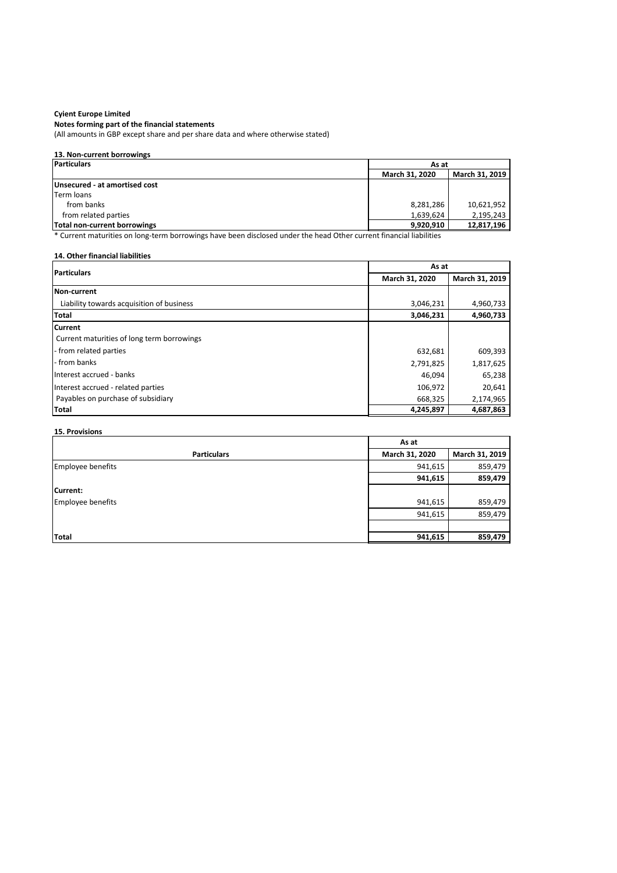## **Cyient Europe Limited Notes forming part of the financial statements**

(All amounts in GBP except share and per share data and where otherwise stated)

#### **13. Non-current borrowings**

| Particulars                   | As at                 |            |  |                |
|-------------------------------|-----------------------|------------|--|----------------|
|                               | <b>March 31, 2020</b> |            |  | March 31, 2019 |
| Unsecured - at amortised cost |                       |            |  |                |
| <b>Term loans</b>             |                       |            |  |                |
| from banks                    | 8,281,286             | 10,621,952 |  |                |
| from related parties          | 1,639,624             | 2,195,243  |  |                |
| Total non-current borrowings  | 9,920,910             | 12,817,196 |  |                |

\* Current maturities on long-term borrowings have been disclosed under the head Other current financial liabilities

### **14. Other financial liabilities**

| <b>Particulars</b>                         | As at          |                |  |
|--------------------------------------------|----------------|----------------|--|
|                                            | March 31, 2020 | March 31, 2019 |  |
| <b>Non-current</b>                         |                |                |  |
| Liability towards acquisition of business  | 3,046,231      | 4,960,733      |  |
| Total                                      | 3,046,231      | 4,960,733      |  |
| <b>Current</b>                             |                |                |  |
| Current maturities of long term borrowings |                |                |  |
| - from related parties                     | 632,681        | 609,393        |  |
| - from banks                               | 2,791,825      | 1,817,625      |  |
| Interest accrued - banks                   | 46,094         | 65,238         |  |
| Interest accrued - related parties         | 106,972        | 20,641         |  |
| Payables on purchase of subsidiary         | 668,325        | 2,174,965      |  |
| <b>Total</b>                               | 4,245,897      | 4,687,863      |  |

#### **15. Provisions**

|                    | As at          |                |
|--------------------|----------------|----------------|
| <b>Particulars</b> | March 31, 2020 | March 31, 2019 |
| Employee benefits  | 941,615        | 859,479        |
|                    | 941,615        | 859,479        |
| Current:           |                |                |
| Employee benefits  | 941,615        | 859,479        |
|                    | 941,615        | 859,479        |
|                    |                |                |
| <b>Total</b>       | 941,615        | 859,479        |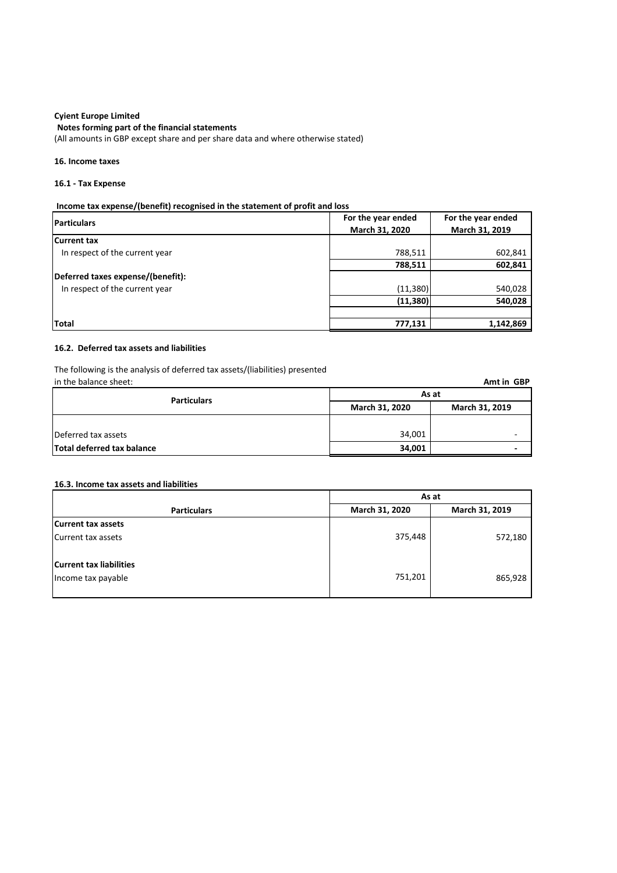**Notes forming part of the financial statements**

(All amounts in GBP except share and per share data and where otherwise stated)

#### **16. Income taxes**

#### **16.1 - Tax Expense**

#### **Income tax expense/(benefit) recognised in the statement of profit and loss**

| <b>Particulars</b>                | For the year ended | For the year ended |
|-----------------------------------|--------------------|--------------------|
|                                   | March 31, 2020     | March 31, 2019     |
| <b>Current tax</b>                |                    |                    |
| In respect of the current year    | 788,511            | 602,841            |
|                                   | 788,511            | 602,841            |
| Deferred taxes expense/(benefit): |                    |                    |
| In respect of the current year    | (11, 380)          | 540,028            |
|                                   | (11, 380)          | 540,028            |
|                                   |                    |                    |
| <b>Total</b>                      | 777,131            | 1,142,869          |

#### **16.2. Deferred tax assets and liabilities**

The following is the analysis of deferred tax assets/(liabilities) presented<br>in the balance sheet:

| in the balance sheet:      |                                  | Amt in GBP |
|----------------------------|----------------------------------|------------|
| <b>Particulars</b>         | As at                            |            |
|                            | March 31, 2020<br>March 31, 2019 |            |
|                            |                                  |            |
| Deferred tax assets        | 34,001                           |            |
| Total deferred tax balance | 34,001                           |            |

#### **16.3. Income tax assets and liabilities**

|                                | As at          |                |
|--------------------------------|----------------|----------------|
| <b>Particulars</b>             | March 31, 2020 | March 31, 2019 |
| <b>Current tax assets</b>      |                |                |
| Current tax assets             | 375,448        | 572,180        |
|                                |                |                |
| <b>Current tax liabilities</b> |                |                |
| Income tax payable             | 751,201        | 865,928        |
|                                |                |                |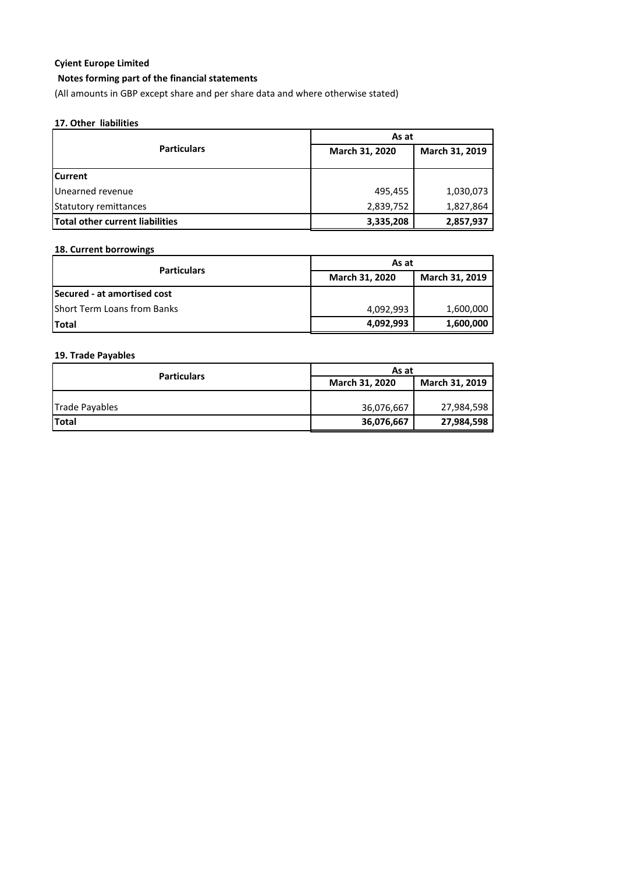### **Notes forming part of the financial statements**

(All amounts in GBP except share and per share data and where otherwise stated)

#### **17. Other liabilities**

|                                        | As at          |                |
|----------------------------------------|----------------|----------------|
| <b>Particulars</b>                     | March 31, 2020 | March 31, 2019 |
| <b>Current</b>                         |                |                |
| Unearned revenue                       | 495,455        | 1,030,073      |
| <b>Statutory remittances</b>           | 2,839,752      | 1,827,864      |
| <b>Total other current liabilities</b> | 3,335,208      | 2,857,937      |

### **18. Current borrowings**

| <b>Particulars</b>          | As at<br>March 31, 2020<br>March 31, 2019 |           |
|-----------------------------|-------------------------------------------|-----------|
|                             |                                           |           |
| Secured - at amortised cost |                                           |           |
| Short Term Loans from Banks | 4,092,993                                 | 1,600,000 |
| <b>Total</b>                | 4,092,993                                 | 1,600,000 |

#### **19. Trade Payables**

|                    | As at                            |            |
|--------------------|----------------------------------|------------|
| <b>Particulars</b> | March 31, 2019<br>March 31, 2020 |            |
|                    |                                  |            |
| Trade Payables     | 36,076,667                       | 27,984,598 |
| <b>Total</b>       | 36,076,667                       | 27,984,598 |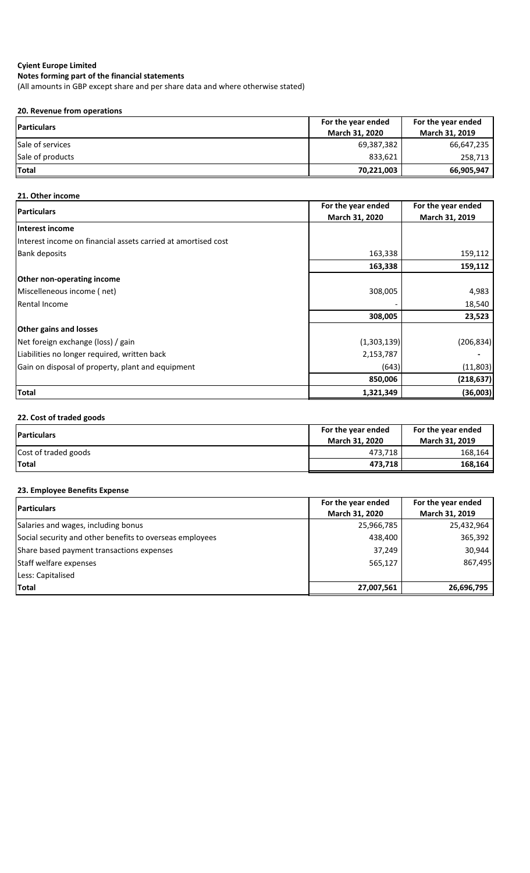**Notes forming part of the financial statements**

(All amounts in GBP except share and per share data and where otherwise stated)

#### **20. Revenue from operations**

| <b>IParticulars</b> | For the year ended    | For the year ended    |
|---------------------|-----------------------|-----------------------|
|                     | <b>March 31, 2020</b> | <b>March 31, 2019</b> |
| Sale of services    | 69,387,382            | 66,647,235            |
| Sale of products    | 833,621               | 258,713               |
| Total               | 70,221,003            | 66,905,947            |

### **21. Other income**

| <b>IParticulars</b>                                           | For the year ended | For the year ended |
|---------------------------------------------------------------|--------------------|--------------------|
|                                                               | March 31, 2020     | March 31, 2019     |
| Interest income                                               |                    |                    |
| Interest income on financial assets carried at amortised cost |                    |                    |
| <b>Bank deposits</b>                                          | 163,338            | 159,112            |
|                                                               | 163,338            | 159,112            |
| <b>Other non-operating income</b>                             |                    |                    |
| Miscelleneous income (net)                                    | 308,005            | 4,983              |
| <b>Rental Income</b>                                          |                    | 18,540             |
|                                                               | 308,005            | 23,523             |
| <b>Other gains and losses</b>                                 |                    |                    |
| Net foreign exchange (loss) / gain                            | (1,303,139)        | (206, 834)         |
| Liabilities no longer required, written back                  | 2,153,787          |                    |
| Gain on disposal of property, plant and equipment             | (643)              | (11, 803)          |
|                                                               | 850,006            | (218, 637)         |
| <b>Total</b>                                                  | 1,321,349          | (36,003)           |

### **22. Cost of traded goods**

| <b>IParticulars</b>  | For the year ended<br><b>March 31, 2020</b> | For the year ended<br><b>March 31, 2019</b> |
|----------------------|---------------------------------------------|---------------------------------------------|
| Cost of traded goods | 473,718                                     | 168.164                                     |
| <b>ITotal</b>        | 473,718                                     | 168.164                                     |

## **23. Employee Benefits Expense**

| <b>IParticulars</b>                                      | For the year ended | For the year ended |
|----------------------------------------------------------|--------------------|--------------------|
|                                                          | March 31, 2020     | March 31, 2019     |
| Salaries and wages, including bonus                      | 25,966,785         | 25,432,964         |
| Social security and other benefits to overseas employees | 438,400            | 365,392            |
| Share based payment transactions expenses                | 37,249             | 30,944             |
| Staff welfare expenses                                   | 565,127            | 867,495            |
| Less: Capitalised                                        |                    |                    |
| Total                                                    | 27,007,561         | 26,696,795         |